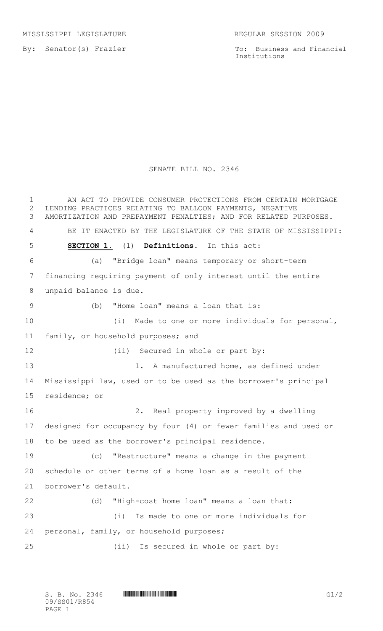MISSISSIPPI LEGISLATURE REGULAR SESSION 2009

By: Senator(s) Frazier

To: Business and Financial Institutions

## SENATE BILL NO. 2346

1 AN ACT TO PROVIDE CONSUMER PROTECTIONS FROM CERTAIN MORTGAGE LENDING PRACTICES RELATING TO BALLOON PAYMENTS, NEGATIVE AMORTIZATION AND PREPAYMENT PENALTIES; AND FOR RELATED PURPOSES. BE IT ENACTED BY THE LEGISLATURE OF THE STATE OF MISSISSIPPI: **SECTION 1.** (1) **Definitions.** In this act: (a) "Bridge loan" means temporary or short-term financing requiring payment of only interest until the entire unpaid balance is due. (b) "Home loan" means a loan that is: (i) Made to one or more individuals for personal, family, or household purposes; and 12 (ii) Secured in whole or part by: 13 1. A manufactured home, as defined under Mississippi law, used or to be used as the borrower's principal residence; or 2. Real property improved by a dwelling designed for occupancy by four (4) or fewer families and used or to be used as the borrower's principal residence. (c) "Restructure" means a change in the payment schedule or other terms of a home loan as a result of the borrower's default. (d) "High-cost home loan" means a loan that: (i) Is made to one or more individuals for personal, family, or household purposes; (ii) Is secured in whole or part by: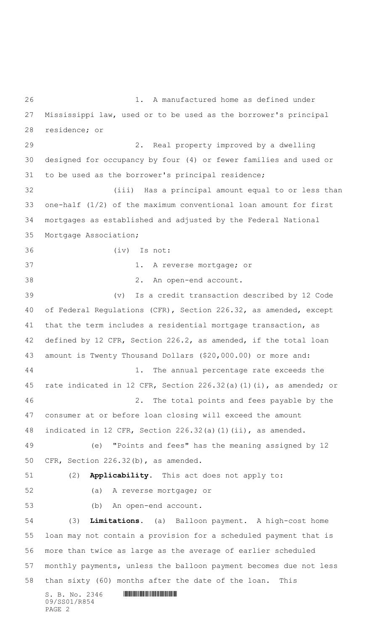$S. B. No. 2346$  .  $M. 2346$ 09/SS01/R854 1. A manufactured home as defined under Mississippi law, used or to be used as the borrower's principal residence; or 2. Real property improved by a dwelling designed for occupancy by four (4) or fewer families and used or to be used as the borrower's principal residence; (iii) Has a principal amount equal to or less than one-half (1/2) of the maximum conventional loan amount for first mortgages as established and adjusted by the Federal National Mortgage Association; (iv) Is not: 1. A reverse mortgage; or 2. An open-end account. (v) Is a credit transaction described by 12 Code of Federal Regulations (CFR), Section 226.32, as amended, except that the term includes a residential mortgage transaction, as defined by 12 CFR, Section 226.2, as amended, if the total loan amount is Twenty Thousand Dollars (\$20,000.00) or more and: 44 1. The annual percentage rate exceeds the rate indicated in 12 CFR, Section 226.32(a)(1)(i), as amended; or 2. The total points and fees payable by the consumer at or before loan closing will exceed the amount indicated in 12 CFR, Section 226.32(a)(1)(ii), as amended. (e) "Points and fees" has the meaning assigned by 12 CFR, Section 226.32(b), as amended. (2) **Applicability.** This act does not apply to: (a) A reverse mortgage; or (b) An open-end account. (3) **Limitations.** (a) Balloon payment. A high-cost home loan may not contain a provision for a scheduled payment that is more than twice as large as the average of earlier scheduled monthly payments, unless the balloon payment becomes due not less than sixty (60) months after the date of the loan. This

PAGE 2